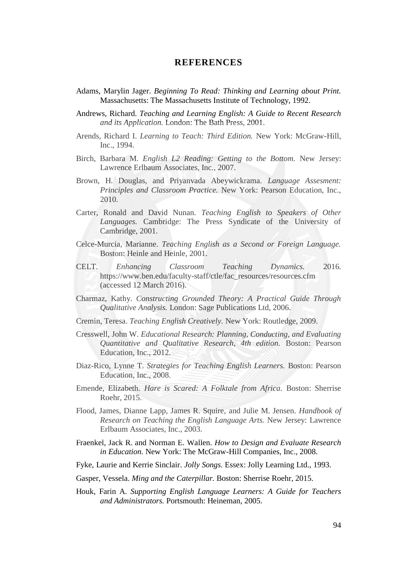## **REFERENCES**

- Adams, Marylin Jager. *Beginning To Read: Thinking and Learning about Print.* Massachusetts: The Massachusetts Institute of Technology, 1992.
- Andrews, Richard. *Teaching and Learning English: A Guide to Recent Research and its Application.* London: The Bath Press, 2001.
- Arends, Richard I. *Learning to Teach: Third Edition.* New York: McGraw-Hill, Inc., 1994.
- Birch, Barbara M. *English L2 Reading: Getting to the Bottom.* New Jersey: Lawrence Erlbaum Associates, Inc., 2007.
- Brown, H. Douglas, and Priyanvada Abeywickrama. *Language Assesment: Principles and Classroom Practice.* New York: Pearson Education, Inc., 2010.
- Carter, Ronald and David Nunan. *Teaching English to Speakers of Other Languages.* Cambridge: The Press Syndicate of the University of Cambridge, 2001.
- Celce-Murcia, Marianne. *Teaching English as a Second or Foreign Language.* Boston: Heinle and Heinle, 2001.
- CELT. *Enhancing Classroom Teaching Dynamics.* 2016. https://www.ben.edu/faculty-staff/ctle/fac\_resources/resources.cfm (accessed 12 March 2016).
- Charmaz, Kathy. *Constructing Grounded Theory: A Practical Guide Through Qualitative Analysis.* London: Sage Publications Ltd, 2006.
- Cremin, Teresa. *Teaching English Creatively.* New York: Routledge, 2009.
- Cresswell, John W. *Educational Research: Planning, Conducting, and Evaluating Quantitative and Qualitative Research, 4th edition.* Boston: Pearson Education, Inc., 2012.
- Diaz-Rico, Lynne T. *Strategies for Teaching English Learners.* Boston: Pearson Education, Inc., 2008.
- Emende, Elizabeth. *Hare is Scared: A Folktale from Africa.* Boston: Sherrise Roehr, 2015.
- Flood, James, Dianne Lapp, James R. Squire, and Julie M. Jensen. *Handbook of Research on Teaching the English Language Arts.* New Jersey: Lawrence Erlbaum Associates, Inc., 2003.
- Fraenkel, Jack R. and Norman E. Wallen. *How to Design and Evaluate Research in Education.* New York: The McGraw-Hill Companies, Inc., 2008.
- Fyke, Laurie and Kerrie Sinclair. *Jolly Songs.* Essex: Jolly Learning Ltd., 1993.
- Gasper, Vessela. *Ming and the Caterpillar.* Boston: Sherrise Roehr, 2015.
- Houk, Farin A. *Supporting English Language Learners: A Guide for Teachers and Administrators.* Portsmouth: Heineman, 2005.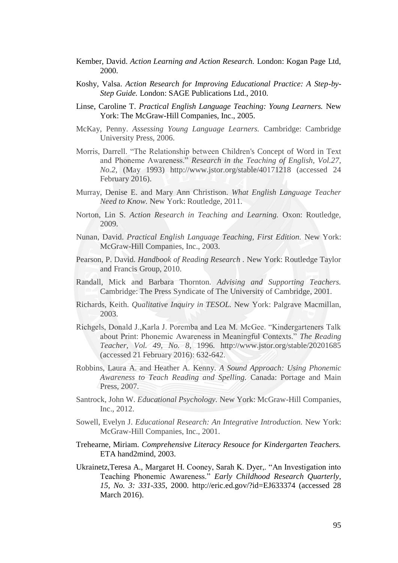- Kember, David. *Action Learning and Action Research.* London: Kogan Page Ltd, 2000.
- Koshy, Valsa. *Action Research for Improving Educational Practice: A Step-by-Step Guide.* London: SAGE Publications Ltd., 2010.
- Linse, Caroline T. *Practical English Language Teaching: Young Learners.* New York: The McGraw-Hill Companies, Inc., 2005.
- McKay, Penny. *Assessing Young Language Learners.* Cambridge: Cambridge University Press, 2006.
- Morris, Darrell. "The Relationship between Children's Concept of Word in Text and Phoneme Awareness." *Research in the Teaching of English, Vol.27, No.2*, (May 1993) http://www.jstor.org/stable/40171218 (accessed 24 February 2016).
- Murray, Denise E. and Mary Ann Christison. *What English Language Teacher Need to Know.* New York: Routledge, 2011.
- Norton, Lin S. *Action Research in Teaching and Learning.* Oxon: Routledge, 2009.
- Nunan, David. *Practical English Language Teaching, First Edition.* New York: McGraw-Hill Companies, Inc., 2003.
- Pearson, P. David. *Handbook of Reading Research .* New York: Routledge Taylor and Francis Group, 2010.
- Randall, Mick and Barbara Thornton. *Advising and Supporting Teachers.* Cambridge: The Press Syndicate of The University of Cambridge, 2001.
- Richards, Keith. *Qualitative Inquiry in TESOL.* New York: Palgrave Macmillan, 2003.
- Richgels, Donald J.,Karla J. Poremba and Lea M. McGee. "Kindergarteners Talk about Print: Phonemic Awareness in Meaningful Contexts." *The Reading Teacher, Vol. 49, No. 8*, 1996. http://www.jstor.org/stable/20201685 (accessed 21 February 2016): 632-642.
- Robbins, Laura A. and Heather A. Kenny. *A Sound Approach: Using Phonemic Awareness to Teach Reading and Spelling.* Canada: Portage and Main Press, 2007.
- Santrock, John W. *Educational Psychology.* New York: McGraw-Hill Companies, Inc., 2012.
- Sowell, Evelyn J. *Educational Research: An Integrative Introduction.* New York: McGraw-Hill Companies, Inc., 2001.
- Trehearne, Miriam. *Comprehensive Literacy Resouce for Kindergarten Teachers.* ETA hand2mind, 2003.
- Ukrainetz,Teresa A., Margaret H. Cooney, Sarah K. Dyer,. "An Investigation into Teaching Phonemic Awareness." *Early Childhood Research Quarterly, 15, No. 3: 331-335*, 2000. http://eric.ed.gov/?id=EJ633374 (accessed 28 March 2016).